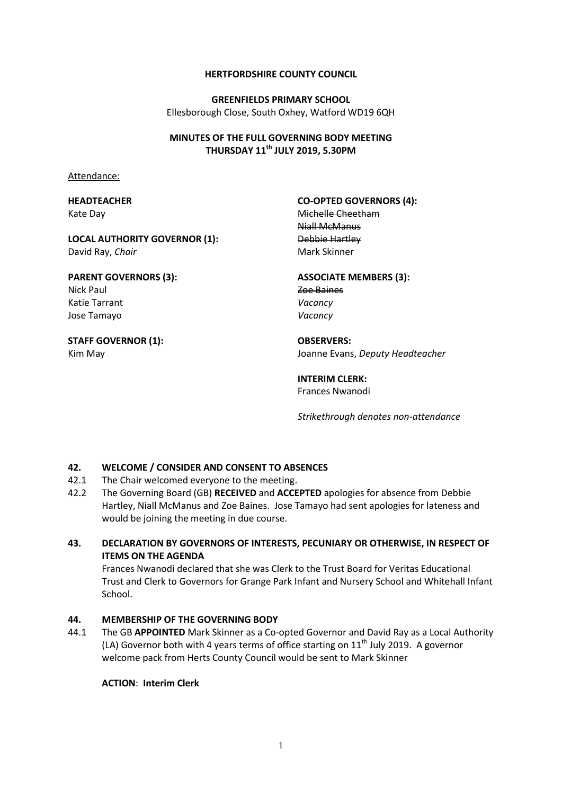#### **HERTFORDSHIRE COUNTY COUNCIL**

**GREENFIELDS PRIMARY SCHOOL** Ellesborough Close, South Oxhey, Watford WD19 6QH

## **MINUTES OF THE FULL GOVERNING BODY MEETING THURSDAY 11th JULY 2019, 5.30PM**

Attendance:

## **HEADTEACHER** Kate Day

David Ray, *Chair*

# **CO-OPTED GOVERNORS (4):**

# **PARENT GOVERNORS (3):** Nick Paul

**LOCAL AUTHORITY GOVERNOR (1):**

Katie Tarrant Jose Tamayo

#### **STAFF GOVERNOR (1):** Kim May

Michelle Cheetham Niall McManus Debbie Hartley Mark Skinner

# **ASSOCIATE MEMBERS (3):**

Zoe Baines *Vacancy Vacancy*

**OBSERVERS:** Joanne Evans, *Deputy Headteacher*

## **INTERIM CLERK:** Frances Nwanodi

*Strikethrough denotes non-attendance*

# **42. WELCOME / CONSIDER AND CONSENT TO ABSENCES**

- 42.1 The Chair welcomed everyone to the meeting.
- 42.2 The Governing Board (GB) **RECEIVED** and **ACCEPTED** apologies for absence from Debbie Hartley, Niall McManus and Zoe Baines. Jose Tamayo had sent apologies for lateness and would be joining the meeting in due course.

# **43. DECLARATION BY GOVERNORS OF INTERESTS, PECUNIARY OR OTHERWISE, IN RESPECT OF ITEMS ON THE AGENDA**

Frances Nwanodi declared that she was Clerk to the Trust Board for Veritas Educational Trust and Clerk to Governors for Grange Park Infant and Nursery School and Whitehall Infant School.

# **44. MEMBERSHIP OF THE GOVERNING BODY**

44.1 The GB **APPOINTED** Mark Skinner as a Co-opted Governor and David Ray as a Local Authority (LA) Governor both with 4 years terms of office starting on  $11<sup>th</sup>$  July 2019. A governor welcome pack from Herts County Council would be sent to Mark Skinner

# **ACTION**: **Interim Clerk**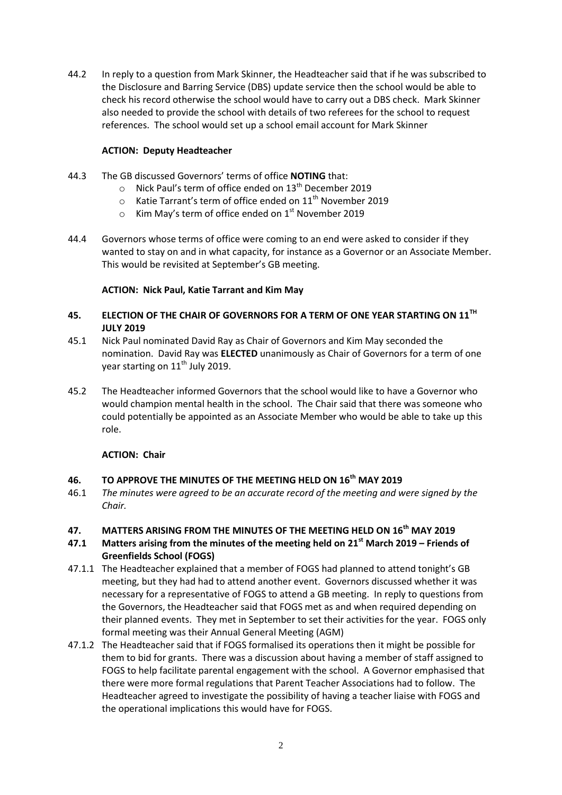44.2 In reply to a question from Mark Skinner, the Headteacher said that if he was subscribed to the Disclosure and Barring Service (DBS) update service then the school would be able to check his record otherwise the school would have to carry out a DBS check. Mark Skinner also needed to provide the school with details of two referees for the school to request references. The school would set up a school email account for Mark Skinner

# **ACTION: Deputy Headteacher**

- 44.3 The GB discussed Governors' terms of office **NOTING** that:
	- $\circ$  Nick Paul's term of office ended on 13<sup>th</sup> December 2019
	- $\circ$  Katie Tarrant's term of office ended on 11<sup>th</sup> November 2019
	- $\circ$  Kim May's term of office ended on 1st November 2019
- 44.4 Governors whose terms of office were coming to an end were asked to consider if they wanted to stay on and in what capacity, for instance as a Governor or an Associate Member. This would be revisited at September's GB meeting.

## **ACTION: Nick Paul, Katie Tarrant and Kim May**

# **45. ELECTION OF THE CHAIR OF GOVERNORS FOR A TERM OF ONE YEAR STARTING ON 11TH JULY 2019**

- 45.1 Nick Paul nominated David Ray as Chair of Governors and Kim May seconded the nomination. David Ray was **ELECTED** unanimously as Chair of Governors for a term of one year starting on  $11<sup>th</sup>$  July 2019.
- 45.2 The Headteacher informed Governors that the school would like to have a Governor who would champion mental health in the school. The Chair said that there was someone who could potentially be appointed as an Associate Member who would be able to take up this role.

### **ACTION: Chair**

# **46. TO APPROVE THE MINUTES OF THE MEETING HELD ON 16th MAY 2019**

46.1 *The minutes were agreed to be an accurate record of the meeting and were signed by the Chair.*

### **47. MATTERS ARISING FROM THE MINUTES OF THE MEETING HELD ON 16th MAY 2019**

- **47.1 Matters arising from the minutes of the meeting held on 21st March 2019 – Friends of Greenfields School (FOGS)**
- 47.1.1 The Headteacher explained that a member of FOGS had planned to attend tonight's GB meeting, but they had had to attend another event. Governors discussed whether it was necessary for a representative of FOGS to attend a GB meeting. In reply to questions from the Governors, the Headteacher said that FOGS met as and when required depending on their planned events. They met in September to set their activities for the year. FOGS only formal meeting was their Annual General Meeting (AGM)
- 47.1.2 The Headteacher said that if FOGS formalised its operations then it might be possible for them to bid for grants. There was a discussion about having a member of staff assigned to FOGS to help facilitate parental engagement with the school. A Governor emphasised that there were more formal regulations that Parent Teacher Associations had to follow. The Headteacher agreed to investigate the possibility of having a teacher liaise with FOGS and the operational implications this would have for FOGS.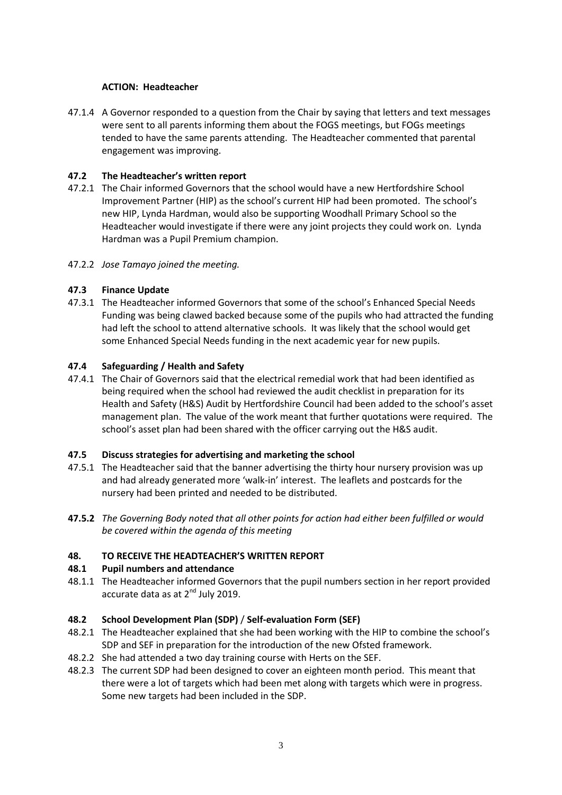## **ACTION: Headteacher**

47.1.4 A Governor responded to a question from the Chair by saying that letters and text messages were sent to all parents informing them about the FOGS meetings, but FOGs meetings tended to have the same parents attending. The Headteacher commented that parental engagement was improving.

# **47.2 The Headteacher's written report**

- 47.2.1 The Chair informed Governors that the school would have a new Hertfordshire School Improvement Partner (HIP) as the school's current HIP had been promoted. The school's new HIP, Lynda Hardman, would also be supporting Woodhall Primary School so the Headteacher would investigate if there were any joint projects they could work on. Lynda Hardman was a Pupil Premium champion.
- 47.2.2 *Jose Tamayo joined the meeting.*

# **47.3 Finance Update**

47.3.1 The Headteacher informed Governors that some of the school's Enhanced Special Needs Funding was being clawed backed because some of the pupils who had attracted the funding had left the school to attend alternative schools. It was likely that the school would get some Enhanced Special Needs funding in the next academic year for new pupils.

## **47.4 Safeguarding / Health and Safety**

47.4.1 The Chair of Governors said that the electrical remedial work that had been identified as being required when the school had reviewed the audit checklist in preparation for its Health and Safety (H&S) Audit by Hertfordshire Council had been added to the school's asset management plan. The value of the work meant that further quotations were required. The school's asset plan had been shared with the officer carrying out the H&S audit.

### **47.5 Discuss strategies for advertising and marketing the school**

- 47.5.1 The Headteacher said that the banner advertising the thirty hour nursery provision was up and had already generated more 'walk-in' interest. The leaflets and postcards for the nursery had been printed and needed to be distributed.
- **47.5.2** *The Governing Body noted that all other points for action had either been fulfilled or would be covered within the agenda of this meeting*

### **48. TO RECEIVE THE HEADTEACHER'S WRITTEN REPORT**

### **48.1 Pupil numbers and attendance**

48.1.1 The Headteacher informed Governors that the pupil numbers section in her report provided accurate data as at  $2^{nd}$  July 2019.

### **48.2 School Development Plan (SDP)** / **Self-evaluation Form (SEF)**

- 48.2.1 The Headteacher explained that she had been working with the HIP to combine the school's SDP and SEF in preparation for the introduction of the new Ofsted framework.
- 48.2.2 She had attended a two day training course with Herts on the SEF.
- 48.2.3 The current SDP had been designed to cover an eighteen month period. This meant that there were a lot of targets which had been met along with targets which were in progress. Some new targets had been included in the SDP.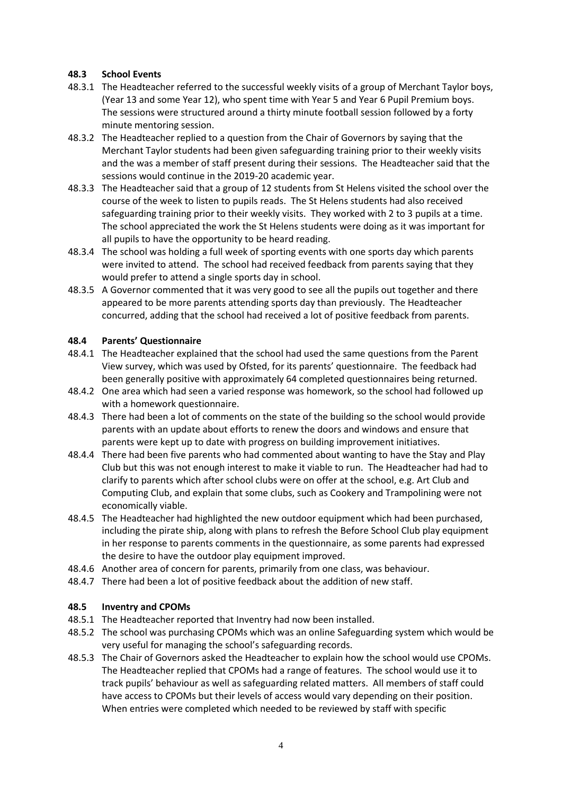## **48.3 School Events**

- 48.3.1 The Headteacher referred to the successful weekly visits of a group of Merchant Taylor boys, (Year 13 and some Year 12), who spent time with Year 5 and Year 6 Pupil Premium boys. The sessions were structured around a thirty minute football session followed by a forty minute mentoring session.
- 48.3.2 The Headteacher replied to a question from the Chair of Governors by saying that the Merchant Taylor students had been given safeguarding training prior to their weekly visits and the was a member of staff present during their sessions. The Headteacher said that the sessions would continue in the 2019-20 academic year.
- 48.3.3 The Headteacher said that a group of 12 students from St Helens visited the school over the course of the week to listen to pupils reads. The St Helens students had also received safeguarding training prior to their weekly visits. They worked with 2 to 3 pupils at a time. The school appreciated the work the St Helens students were doing as it was important for all pupils to have the opportunity to be heard reading.
- 48.3.4 The school was holding a full week of sporting events with one sports day which parents were invited to attend. The school had received feedback from parents saying that they would prefer to attend a single sports day in school.
- 48.3.5 A Governor commented that it was very good to see all the pupils out together and there appeared to be more parents attending sports day than previously. The Headteacher concurred, adding that the school had received a lot of positive feedback from parents.

## **48.4 Parents' Questionnaire**

- 48.4.1 The Headteacher explained that the school had used the same questions from the Parent View survey, which was used by Ofsted, for its parents' questionnaire. The feedback had been generally positive with approximately 64 completed questionnaires being returned.
- 48.4.2 One area which had seen a varied response was homework, so the school had followed up with a homework questionnaire.
- 48.4.3 There had been a lot of comments on the state of the building so the school would provide parents with an update about efforts to renew the doors and windows and ensure that parents were kept up to date with progress on building improvement initiatives.
- 48.4.4 There had been five parents who had commented about wanting to have the Stay and Play Club but this was not enough interest to make it viable to run. The Headteacher had had to clarify to parents which after school clubs were on offer at the school, e.g. Art Club and Computing Club, and explain that some clubs, such as Cookery and Trampolining were not economically viable.
- 48.4.5 The Headteacher had highlighted the new outdoor equipment which had been purchased, including the pirate ship, along with plans to refresh the Before School Club play equipment in her response to parents comments in the questionnaire, as some parents had expressed the desire to have the outdoor play equipment improved.
- 48.4.6 Another area of concern for parents, primarily from one class, was behaviour.
- 48.4.7 There had been a lot of positive feedback about the addition of new staff.

### **48.5 Inventry and CPOMs**

- 48.5.1 The Headteacher reported that Inventry had now been installed.
- 48.5.2 The school was purchasing CPOMs which was an online Safeguarding system which would be very useful for managing the school's safeguarding records.
- 48.5.3 The Chair of Governors asked the Headteacher to explain how the school would use CPOMs. The Headteacher replied that CPOMs had a range of features. The school would use it to track pupils' behaviour as well as safeguarding related matters. All members of staff could have access to CPOMs but their levels of access would vary depending on their position. When entries were completed which needed to be reviewed by staff with specific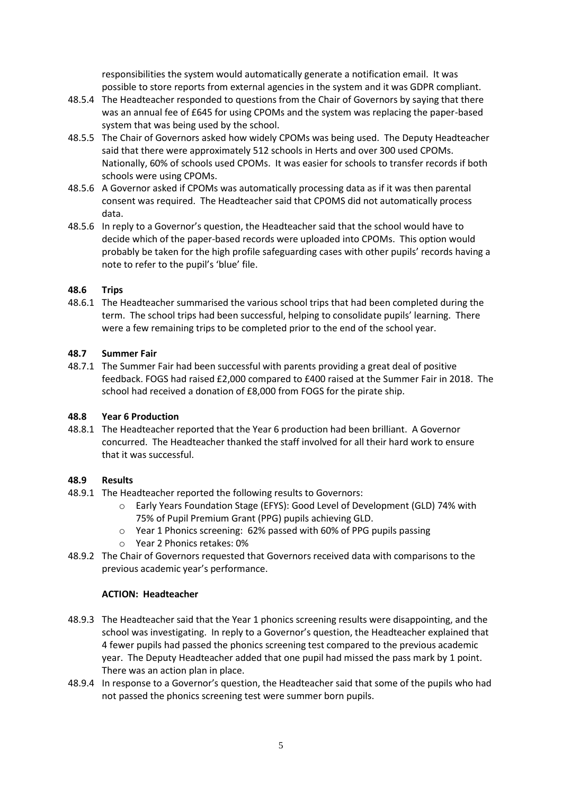responsibilities the system would automatically generate a notification email. It was possible to store reports from external agencies in the system and it was GDPR compliant.

- 48.5.4 The Headteacher responded to questions from the Chair of Governors by saying that there was an annual fee of £645 for using CPOMs and the system was replacing the paper-based system that was being used by the school.
- 48.5.5 The Chair of Governors asked how widely CPOMs was being used. The Deputy Headteacher said that there were approximately 512 schools in Herts and over 300 used CPOMs. Nationally, 60% of schools used CPOMs. It was easier for schools to transfer records if both schools were using CPOMs.
- 48.5.6 A Governor asked if CPOMs was automatically processing data as if it was then parental consent was required. The Headteacher said that CPOMS did not automatically process data.
- 48.5.6 In reply to a Governor's question, the Headteacher said that the school would have to decide which of the paper-based records were uploaded into CPOMs. This option would probably be taken for the high profile safeguarding cases with other pupils' records having a note to refer to the pupil's 'blue' file.

## **48.6 Trips**

48.6.1 The Headteacher summarised the various school trips that had been completed during the term. The school trips had been successful, helping to consolidate pupils' learning. There were a few remaining trips to be completed prior to the end of the school year.

## **48.7 Summer Fair**

48.7.1 The Summer Fair had been successful with parents providing a great deal of positive feedback. FOGS had raised £2,000 compared to £400 raised at the Summer Fair in 2018. The school had received a donation of £8,000 from FOGS for the pirate ship.

### **48.8 Year 6 Production**

48.8.1 The Headteacher reported that the Year 6 production had been brilliant. A Governor concurred. The Headteacher thanked the staff involved for all their hard work to ensure that it was successful.

# **48.9 Results**

- 48.9.1 The Headteacher reported the following results to Governors:
	- o Early Years Foundation Stage (EFYS): Good Level of Development (GLD) 74% with 75% of Pupil Premium Grant (PPG) pupils achieving GLD.
	- o Year 1 Phonics screening: 62% passed with 60% of PPG pupils passing
	- o Year 2 Phonics retakes: 0%
- 48.9.2 The Chair of Governors requested that Governors received data with comparisons to the previous academic year's performance.

### **ACTION: Headteacher**

- 48.9.3 The Headteacher said that the Year 1 phonics screening results were disappointing, and the school was investigating. In reply to a Governor's question, the Headteacher explained that 4 fewer pupils had passed the phonics screening test compared to the previous academic year. The Deputy Headteacher added that one pupil had missed the pass mark by 1 point. There was an action plan in place.
- 48.9.4 In response to a Governor's question, the Headteacher said that some of the pupils who had not passed the phonics screening test were summer born pupils.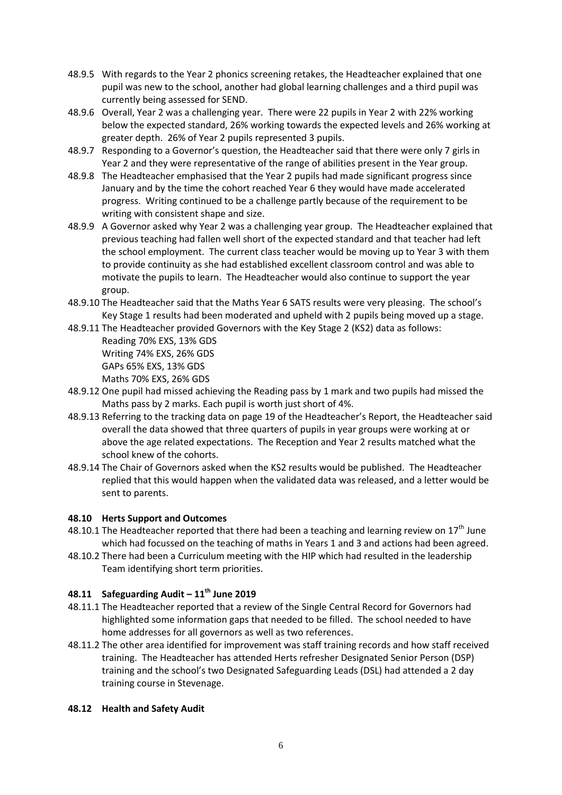- 48.9.5 With regards to the Year 2 phonics screening retakes, the Headteacher explained that one pupil was new to the school, another had global learning challenges and a third pupil was currently being assessed for SEND.
- 48.9.6 Overall, Year 2 was a challenging year. There were 22 pupils in Year 2 with 22% working below the expected standard, 26% working towards the expected levels and 26% working at greater depth. 26% of Year 2 pupils represented 3 pupils.
- 48.9.7 Responding to a Governor's question, the Headteacher said that there were only 7 girls in Year 2 and they were representative of the range of abilities present in the Year group.
- 48.9.8 The Headteacher emphasised that the Year 2 pupils had made significant progress since January and by the time the cohort reached Year 6 they would have made accelerated progress. Writing continued to be a challenge partly because of the requirement to be writing with consistent shape and size.
- 48.9.9 A Governor asked why Year 2 was a challenging year group. The Headteacher explained that previous teaching had fallen well short of the expected standard and that teacher had left the school employment. The current class teacher would be moving up to Year 3 with them to provide continuity as she had established excellent classroom control and was able to motivate the pupils to learn. The Headteacher would also continue to support the year group.
- 48.9.10 The Headteacher said that the Maths Year 6 SATS results were very pleasing. The school's Key Stage 1 results had been moderated and upheld with 2 pupils being moved up a stage.
- 48.9.11 The Headteacher provided Governors with the Key Stage 2 (KS2) data as follows: Reading 70% EXS, 13% GDS Writing 74% EXS, 26% GDS GAPs 65% EXS, 13% GDS Maths 70% EXS, 26% GDS
- 48.9.12 One pupil had missed achieving the Reading pass by 1 mark and two pupils had missed the Maths pass by 2 marks. Each pupil is worth just short of 4%.
- 48.9.13 Referring to the tracking data on page 19 of the Headteacher's Report, the Headteacher said overall the data showed that three quarters of pupils in year groups were working at or above the age related expectations. The Reception and Year 2 results matched what the school knew of the cohorts.
- 48.9.14 The Chair of Governors asked when the KS2 results would be published. The Headteacher replied that this would happen when the validated data was released, and a letter would be sent to parents.

# **48.10 Herts Support and Outcomes**

- 48.10.1 The Headteacher reported that there had been a teaching and learning review on  $17<sup>th</sup>$  June which had focussed on the teaching of maths in Years 1 and 3 and actions had been agreed.
- 48.10.2 There had been a Curriculum meeting with the HIP which had resulted in the leadership Team identifying short term priorities.

## **48.11 Safeguarding Audit – 11th June 2019**

- 48.11.1 The Headteacher reported that a review of the Single Central Record for Governors had highlighted some information gaps that needed to be filled. The school needed to have home addresses for all governors as well as two references.
- 48.11.2 The other area identified for improvement was staff training records and how staff received training. The Headteacher has attended Herts refresher Designated Senior Person (DSP) training and the school's two Designated Safeguarding Leads (DSL) had attended a 2 day training course in Stevenage.

### **48.12 Health and Safety Audit**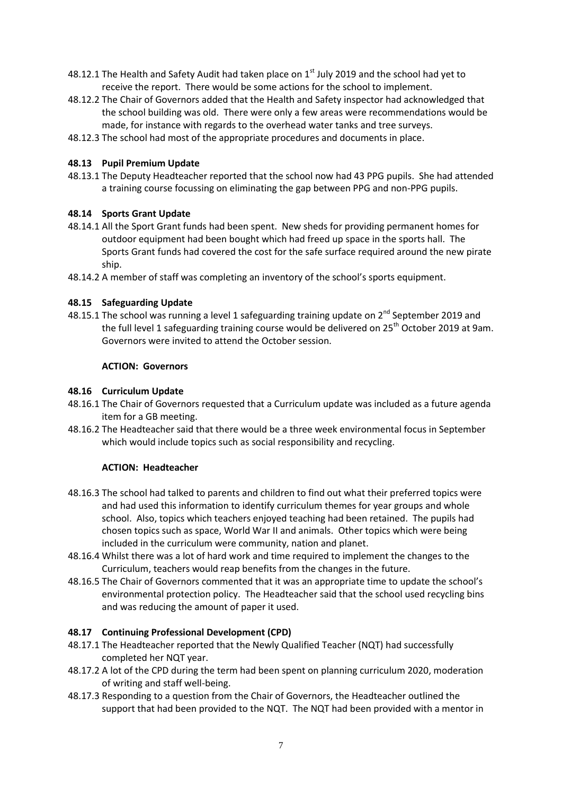- 48.12.1 The Health and Safety Audit had taken place on  $1<sup>st</sup>$  July 2019 and the school had yet to receive the report. There would be some actions for the school to implement.
- 48.12.2 The Chair of Governors added that the Health and Safety inspector had acknowledged that the school building was old. There were only a few areas were recommendations would be made, for instance with regards to the overhead water tanks and tree surveys.
- 48.12.3 The school had most of the appropriate procedures and documents in place.

## **48.13 Pupil Premium Update**

48.13.1 The Deputy Headteacher reported that the school now had 43 PPG pupils. She had attended a training course focussing on eliminating the gap between PPG and non-PPG pupils.

## **48.14 Sports Grant Update**

- 48.14.1 All the Sport Grant funds had been spent. New sheds for providing permanent homes for outdoor equipment had been bought which had freed up space in the sports hall. The Sports Grant funds had covered the cost for the safe surface required around the new pirate ship.
- 48.14.2 A member of staff was completing an inventory of the school's sports equipment.

## **48.15 Safeguarding Update**

48.15.1 The school was running a level 1 safeguarding training update on 2<sup>nd</sup> September 2019 and the full level 1 safeguarding training course would be delivered on 25<sup>th</sup> October 2019 at 9am. Governors were invited to attend the October session.

### **ACTION: Governors**

## **48.16 Curriculum Update**

- 48.16.1 The Chair of Governors requested that a Curriculum update was included as a future agenda item for a GB meeting.
- 48.16.2 The Headteacher said that there would be a three week environmental focus in September which would include topics such as social responsibility and recycling.

### **ACTION: Headteacher**

- 48.16.3 The school had talked to parents and children to find out what their preferred topics were and had used this information to identify curriculum themes for year groups and whole school. Also, topics which teachers enjoyed teaching had been retained. The pupils had chosen topics such as space, World War II and animals. Other topics which were being included in the curriculum were community, nation and planet.
- 48.16.4 Whilst there was a lot of hard work and time required to implement the changes to the Curriculum, teachers would reap benefits from the changes in the future.
- 48.16.5 The Chair of Governors commented that it was an appropriate time to update the school's environmental protection policy. The Headteacher said that the school used recycling bins and was reducing the amount of paper it used.

### **48.17 Continuing Professional Development (CPD)**

- 48.17.1 The Headteacher reported that the Newly Qualified Teacher (NQT) had successfully completed her NQT year.
- 48.17.2 A lot of the CPD during the term had been spent on planning curriculum 2020, moderation of writing and staff well-being.
- 48.17.3 Responding to a question from the Chair of Governors, the Headteacher outlined the support that had been provided to the NQT. The NQT had been provided with a mentor in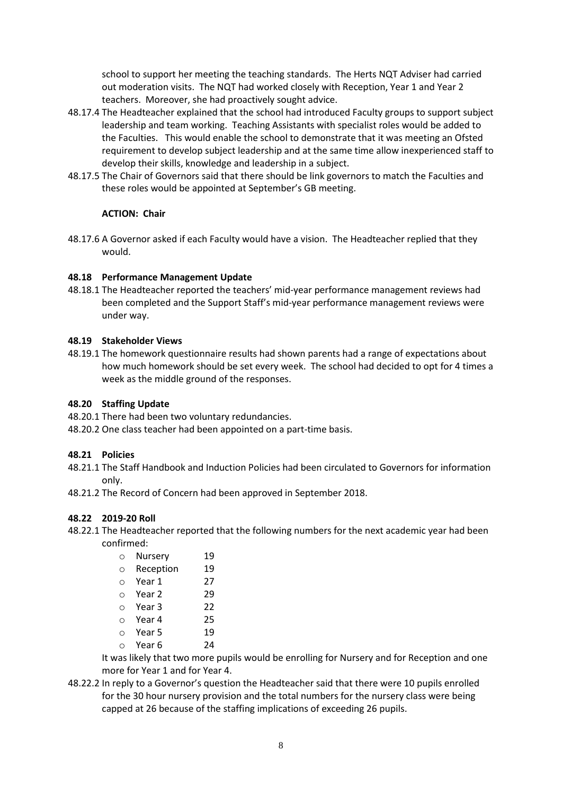school to support her meeting the teaching standards. The Herts NQT Adviser had carried out moderation visits. The NQT had worked closely with Reception, Year 1 and Year 2 teachers. Moreover, she had proactively sought advice.

- 48.17.4 The Headteacher explained that the school had introduced Faculty groups to support subject leadership and team working. Teaching Assistants with specialist roles would be added to the Faculties. This would enable the school to demonstrate that it was meeting an Ofsted requirement to develop subject leadership and at the same time allow inexperienced staff to develop their skills, knowledge and leadership in a subject.
- 48.17.5 The Chair of Governors said that there should be link governors to match the Faculties and these roles would be appointed at September's GB meeting.

# **ACTION: Chair**

48.17.6 A Governor asked if each Faculty would have a vision. The Headteacher replied that they would.

# **48.18 Performance Management Update**

48.18.1 The Headteacher reported the teachers' mid-year performance management reviews had been completed and the Support Staff's mid-year performance management reviews were under way.

# **48.19 Stakeholder Views**

48.19.1 The homework questionnaire results had shown parents had a range of expectations about how much homework should be set every week. The school had decided to opt for 4 times a week as the middle ground of the responses.

# **48.20 Staffing Update**

- 48.20.1 There had been two voluntary redundancies.
- 48.20.2 One class teacher had been appointed on a part-time basis.

### **48.21 Policies**

- 48.21.1 The Staff Handbook and Induction Policies had been circulated to Governors for information only.
- 48.21.2 The Record of Concern had been approved in September 2018.

# **48.22 2019-20 Roll**

48.22.1 The Headteacher reported that the following numbers for the next academic year had been confirmed:

| Ω | Nursery   | 19 |
|---|-----------|----|
| Ω | Reception | 19 |
| ∩ | Year 1    | 27 |
| ∩ | Year 2    | 29 |
| ∩ | Year 3    | 22 |
| ∩ | Year 4    | 25 |
| ∩ | Year 5    | 19 |
| ∩ | Year 6    | 24 |

It was likely that two more pupils would be enrolling for Nursery and for Reception and one more for Year 1 and for Year 4.

48.22.2 In reply to a Governor's question the Headteacher said that there were 10 pupils enrolled for the 30 hour nursery provision and the total numbers for the nursery class were being capped at 26 because of the staffing implications of exceeding 26 pupils.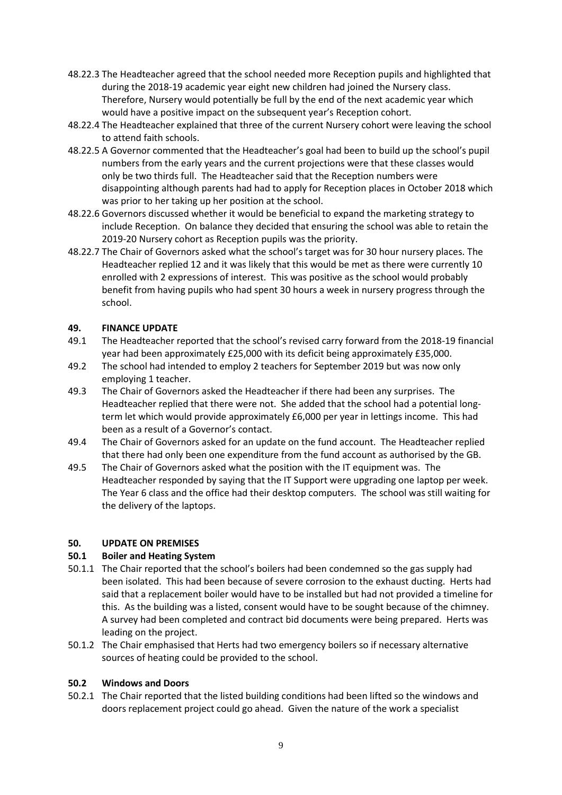- 48.22.3 The Headteacher agreed that the school needed more Reception pupils and highlighted that during the 2018-19 academic year eight new children had joined the Nursery class. Therefore, Nursery would potentially be full by the end of the next academic year which would have a positive impact on the subsequent year's Reception cohort.
- 48.22.4 The Headteacher explained that three of the current Nursery cohort were leaving the school to attend faith schools.
- 48.22.5 A Governor commented that the Headteacher's goal had been to build up the school's pupil numbers from the early years and the current projections were that these classes would only be two thirds full. The Headteacher said that the Reception numbers were disappointing although parents had had to apply for Reception places in October 2018 which was prior to her taking up her position at the school.
- 48.22.6 Governors discussed whether it would be beneficial to expand the marketing strategy to include Reception. On balance they decided that ensuring the school was able to retain the 2019-20 Nursery cohort as Reception pupils was the priority.
- 48.22.7 The Chair of Governors asked what the school's target was for 30 hour nursery places. The Headteacher replied 12 and it was likely that this would be met as there were currently 10 enrolled with 2 expressions of interest. This was positive as the school would probably benefit from having pupils who had spent 30 hours a week in nursery progress through the school.

## **49. FINANCE UPDATE**

- 49.1 The Headteacher reported that the school's revised carry forward from the 2018-19 financial year had been approximately £25,000 with its deficit being approximately £35,000.
- 49.2 The school had intended to employ 2 teachers for September 2019 but was now only employing 1 teacher.
- 49.3 The Chair of Governors asked the Headteacher if there had been any surprises. The Headteacher replied that there were not. She added that the school had a potential longterm let which would provide approximately £6,000 per year in lettings income. This had been as a result of a Governor's contact.
- 49.4 The Chair of Governors asked for an update on the fund account. The Headteacher replied that there had only been one expenditure from the fund account as authorised by the GB.
- 49.5 The Chair of Governors asked what the position with the IT equipment was. The Headteacher responded by saying that the IT Support were upgrading one laptop per week. The Year 6 class and the office had their desktop computers. The school was still waiting for the delivery of the laptops.

### **50. UPDATE ON PREMISES**

# **50.1 Boiler and Heating System**

- 50.1.1 The Chair reported that the school's boilers had been condemned so the gas supply had been isolated. This had been because of severe corrosion to the exhaust ducting. Herts had said that a replacement boiler would have to be installed but had not provided a timeline for this. As the building was a listed, consent would have to be sought because of the chimney. A survey had been completed and contract bid documents were being prepared. Herts was leading on the project.
- 50.1.2 The Chair emphasised that Herts had two emergency boilers so if necessary alternative sources of heating could be provided to the school.

### **50.2 Windows and Doors**

50.2.1 The Chair reported that the listed building conditions had been lifted so the windows and doors replacement project could go ahead. Given the nature of the work a specialist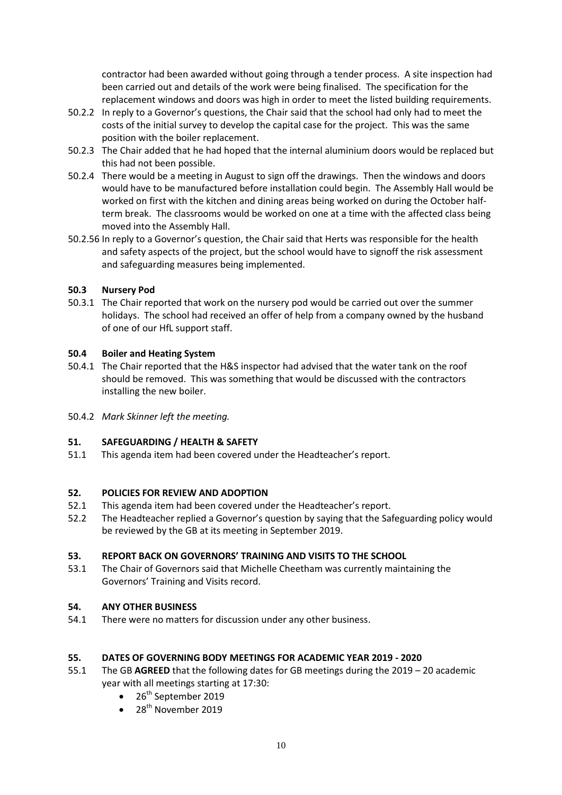contractor had been awarded without going through a tender process. A site inspection had been carried out and details of the work were being finalised. The specification for the replacement windows and doors was high in order to meet the listed building requirements.

- 50.2.2 In reply to a Governor's questions, the Chair said that the school had only had to meet the costs of the initial survey to develop the capital case for the project. This was the same position with the boiler replacement.
- 50.2.3 The Chair added that he had hoped that the internal aluminium doors would be replaced but this had not been possible.
- 50.2.4 There would be a meeting in August to sign off the drawings. Then the windows and doors would have to be manufactured before installation could begin. The Assembly Hall would be worked on first with the kitchen and dining areas being worked on during the October halfterm break. The classrooms would be worked on one at a time with the affected class being moved into the Assembly Hall.
- 50.2.56 In reply to a Governor's question, the Chair said that Herts was responsible for the health and safety aspects of the project, but the school would have to signoff the risk assessment and safeguarding measures being implemented.

## **50.3 Nursery Pod**

50.3.1 The Chair reported that work on the nursery pod would be carried out over the summer holidays. The school had received an offer of help from a company owned by the husband of one of our HfL support staff.

## **50.4 Boiler and Heating System**

- 50.4.1 The Chair reported that the H&S inspector had advised that the water tank on the roof should be removed. This was something that would be discussed with the contractors installing the new boiler.
- 50.4.2 *Mark Skinner left the meeting.*

# **51. SAFEGUARDING / HEALTH & SAFETY**

51.1 This agenda item had been covered under the Headteacher's report.

## **52. POLICIES FOR REVIEW AND ADOPTION**

- 52.1 This agenda item had been covered under the Headteacher's report.
- 52.2 The Headteacher replied a Governor's question by saying that the Safeguarding policy would be reviewed by the GB at its meeting in September 2019.

### **53. REPORT BACK ON GOVERNORS' TRAINING AND VISITS TO THE SCHOOL**

53.1 The Chair of Governors said that Michelle Cheetham was currently maintaining the Governors' Training and Visits record.

### **54. ANY OTHER BUSINESS**

54.1 There were no matters for discussion under any other business.

# **55. DATES OF GOVERNING BODY MEETINGS FOR ACADEMIC YEAR 2019 - 2020**

- 55.1 The GB **AGREED** that the following dates for GB meetings during the 2019 20 academic year with all meetings starting at 17:30:
	- $\bullet$  26<sup>th</sup> September 2019
	- $\bullet$  28<sup>th</sup> November 2019